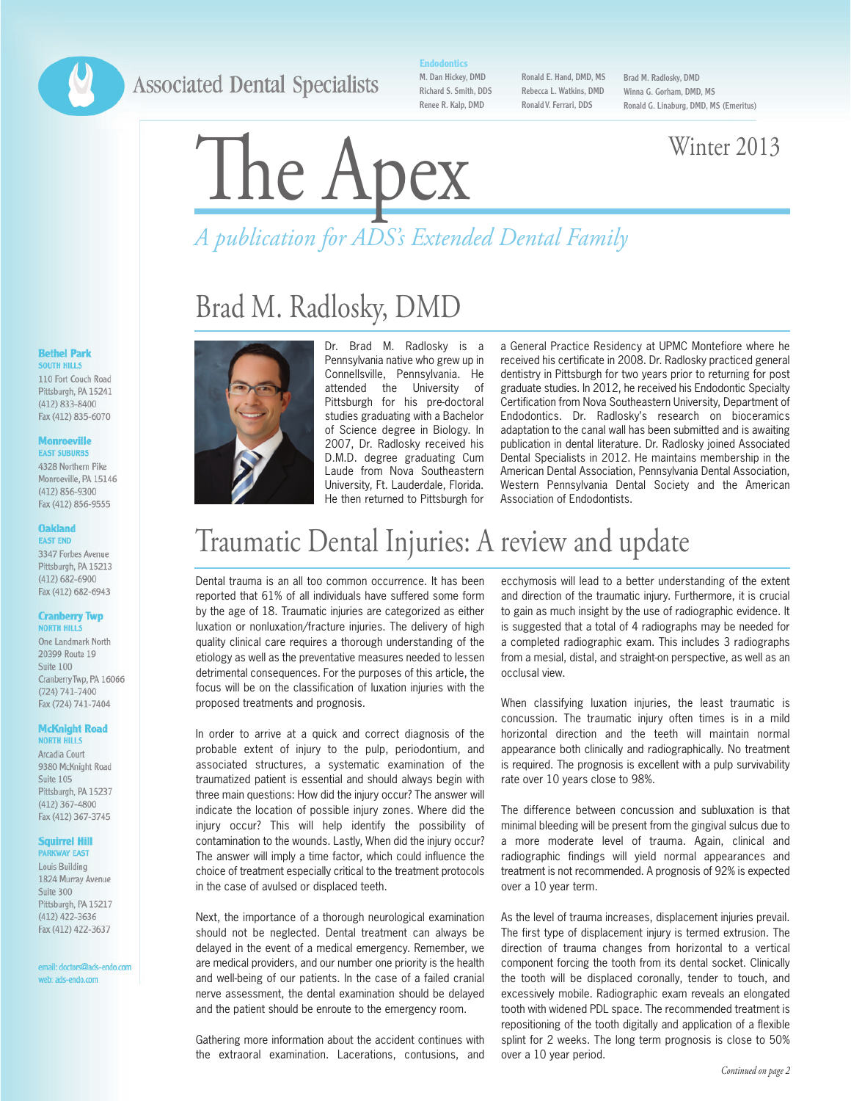### **Associated Dental Specialists**

**Endodontics**

M. Dan Hickey, DMD Richard S. Smith, DDS Renee R. Kalp, DMD

Ronald E. Hand, DMD, MS Rebecca L. Watkins, DMD Ronald V. Ferrari, DDS

Brad M. Radlosky, DMD Winna G. Gorham, DMD, MS Ronald G. Linaburg, DMD, MS (Emeritus)

# The Apex Winter 2013

## *A publication for ADS's Extended Dental Family*

### Brad M. Radlosky, DMD

Dr. Brad M. Radlosky is a Pennsylvania native who grew up in Connellsville, Pennsylvania. He attended the University of Pittsburgh for his pre-doctoral studies graduating with a Bachelor of Science degree in Biology. In 2007, Dr. Radlosky received his D.M.D. degree graduating Cum Laude from Nova Southeastern University, Ft. Lauderdale, Florida. He then returned to Pittsburgh for

a General Practice Residency at UPMC Montefiore where he received his certificate in 2008. Dr. Radlosky practiced general dentistry in Pittsburgh for two years prior to returning for post graduate studies. In 2012, he received his Endodontic Specialty Certification from Nova Southeastern University, Department of Endodontics. Dr. Radlosky's research on bioceramics adaptation to the canal wall has been submitted and is awaiting publication in dental literature. Dr. Radlosky joined Associated Dental Specialists in 2012. He maintains membership in the American Dental Association, Pennsylvania Dental Association, Western Pennsylvania Dental Society and the American Association of Endodontists.

# Traumatic Dental Injuries: A review and update

Dental trauma is an all too common occurrence. It has been reported that 61% of all individuals have suffered some form by the age of 18. Traumatic injuries are categorized as either luxation or nonluxation/fracture injuries. The delivery of high quality clinical care requires a thorough understanding of the etiology as well as the preventative measures needed to lessen detrimental consequences. For the purposes of this article, the focus will be on the classification of luxation injuries with the proposed treatments and prognosis.

In order to arrive at a quick and correct diagnosis of the probable extent of injury to the pulp, periodontium, and associated structures, a systematic examination of the traumatized patient is essential and should always begin with three main questions: How did the injury occur? The answer will indicate the location of possible injury zones. Where did the injury occur? This will help identify the possibility of contamination to the wounds. Lastly, When did the injury occur? The answer will imply a time factor, which could influence the choice of treatment especially critical to the treatment protocols in the case of avulsed or displaced teeth.

Next, the importance of a thorough neurological examination should not be neglected. Dental treatment can always be delayed in the event of a medical emergency. Remember, we are medical providers, and our number one priority is the health and well-being of our patients. In the case of a failed cranial nerve assessment, the dental examination should be delayed and the patient should be enroute to the emergency room.

Gathering more information about the accident continues with the extraoral examination. Lacerations, contusions, and

ecchymosis will lead to a better understanding of the extent and direction of the traumatic injury. Furthermore, it is crucial to gain as much insight by the use of radiographic evidence. It is suggested that a total of 4 radiographs may be needed for a completed radiographic exam. This includes 3 radiographs from a mesial, distal, and straight-on perspective, as well as an occlusal view.

When classifying luxation injuries, the least traumatic is concussion. The traumatic injury often times is in a mild horizontal direction and the teeth will maintain normal appearance both clinically and radiographically. No treatment is required. The prognosis is excellent with a pulp survivability rate over 10 years close to 98%.

The difference between concussion and subluxation is that minimal bleeding will be present from the gingival sulcus due to a more moderate level of trauma. Again, clinical and radiographic findings will yield normal appearances and treatment is not recommended. A prognosis of 92% is expected over a 10 year term.

As the level of trauma increases, displacement injuries prevail. The first type of displacement injury is termed extrusion. The direction of trauma changes from horizontal to a vertical component forcing the tooth from its dental socket. Clinically the tooth will be displaced coronally, tender to touch, and excessively mobile. Radiographic exam reveals an elongated tooth with widened PDL space. The recommended treatment is repositioning of the tooth digitally and application of a flexible splint for 2 weeks. The long term prognosis is close to 50% over a 10 year period.

#### **Bethel Park SOUTH HILLS** 110 Fort Couch Road Pittsburgh, PA 15241  $(412) 833 - 8400$ Fax (412) 835-6070

#### **Monroeville EAST SUBURBS**

4328 Northern Pike Monroeville, PA 15146 (412) 856-9300 Fax (412) 856-9555

#### **Oakland EAST END**

3347 Forbes Avenue Pittsburgh, PA 15213  $(412)$  682-6900 Fax (412) 682-6943

#### **Cranberry Twp NORTH HILLS**

One Landmark North 20399 Route 19 Suite 100 Cranberry Twp, PA 16066 (724) 741-7400 Fax (724) 741-7404

#### **McKnight Road NORTH HILLS**

Arcadia Court 9380 McKnight Road Suite 105 Pittsburgh, PA 15237  $(412)$  367-4800 Fax (412) 367-3745

#### **Squirrel Hill PARKWAY EAST**

Louis Building 1824 Murray Avenue Suite 300 Pittsburgh, PA 15217  $(412)$  422-3636 Fax (412) 422-3637

email: doctors@ads-endo.com web: ads-endo.com

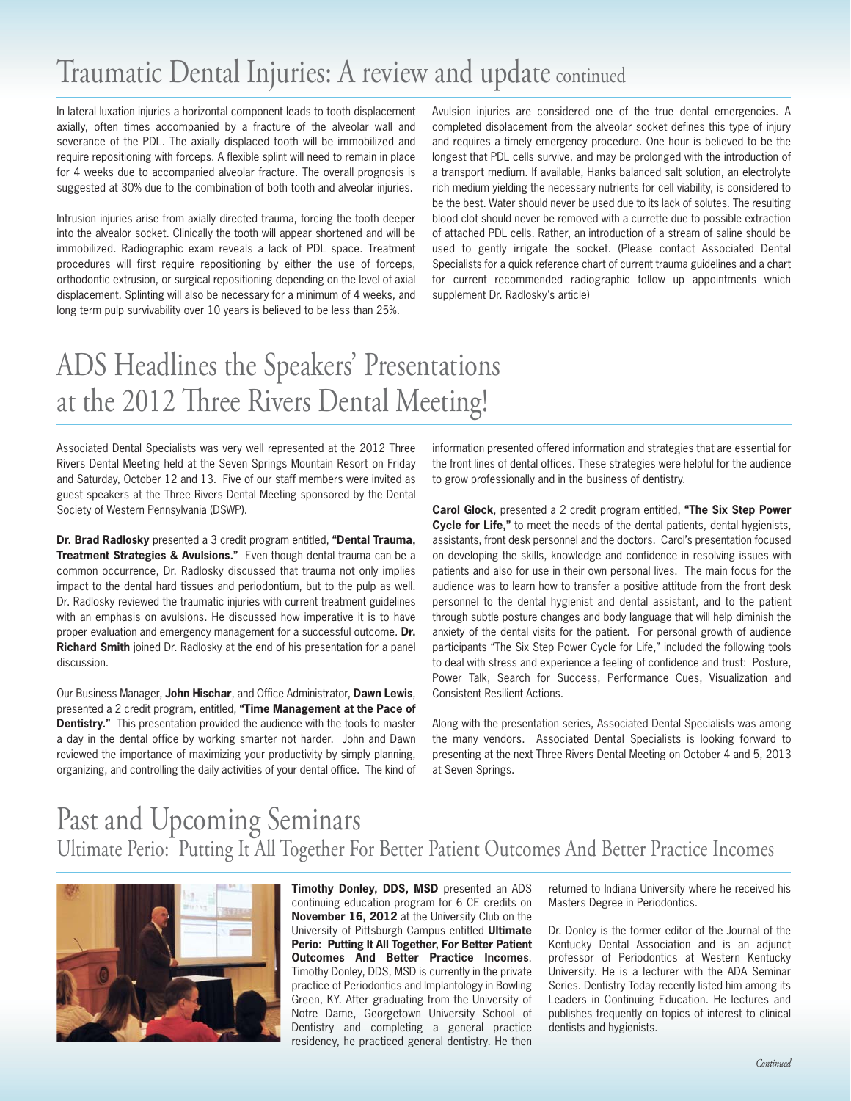# Traumatic Dental Injuries: A review and update continued

In lateral luxation injuries a horizontal component leads to tooth displacement axially, often times accompanied by a fracture of the alveolar wall and severance of the PDL. The axially displaced tooth will be immobilized and require repositioning with forceps. A flexible splint will need to remain in place for 4 weeks due to accompanied alveolar fracture. The overall prognosis is suggested at 30% due to the combination of both tooth and alveolar injuries.

Intrusion injuries arise from axially directed trauma, forcing the tooth deeper into the alvealor socket. Clinically the tooth will appear shortened and will be immobilized. Radiographic exam reveals a lack of PDL space. Treatment procedures will first require repositioning by either the use of forceps, orthodontic extrusion, or surgical repositioning depending on the level of axial displacement. Splinting will also be necessary for a minimum of 4 weeks, and long term pulp survivability over 10 years is believed to be less than 25%.

Avulsion injuries are considered one of the true dental emergencies. A completed displacement from the alveolar socket defines this type of injury and requires a timely emergency procedure. One hour is believed to be the longest that PDL cells survive, and may be prolonged with the introduction of a transport medium. If available, Hanks balanced salt solution, an electrolyte rich medium yielding the necessary nutrients for cell viability, is considered to be the best. Water should never be used due to its lack of solutes. The resulting blood clot should never be removed with a currette due to possible extraction of attached PDL cells. Rather, an introduction of a stream of saline should be used to gently irrigate the socket. (Please contact Associated Dental Specialists for a quick reference chart of current trauma guidelines and a chart for current recommended radiographic follow up appointments which supplement Dr. Radlosky's article)

### ADS Headlines the Speakers' Presentations at the 2012 Three Rivers Dental Meeting!

Associated Dental Specialists was very well represented at the 2012 Three Rivers Dental Meeting held at the Seven Springs Mountain Resort on Friday and Saturday, October 12 and 13. Five of our staff members were invited as guest speakers at the Three Rivers Dental Meeting sponsored by the Dental Society of Western Pennsylvania (DSWP).

**Dr. Brad Radlosky** presented a 3 credit program entitled, **"Dental Trauma, Treatment Strategies & Avulsions."** Even though dental trauma can be a common occurrence, Dr. Radlosky discussed that trauma not only implies impact to the dental hard tissues and periodontium, but to the pulp as well. Dr. Radlosky reviewed the traumatic injuries with current treatment guidelines with an emphasis on avulsions. He discussed how imperative it is to have proper evaluation and emergency management for a successful outcome. **Dr. Richard Smith** joined Dr. Radlosky at the end of his presentation for a panel discussion.

Our Business Manager, **John Hischar**, and Office Administrator, **Dawn Lewis**, presented a 2 credit program, entitled, **"Time Management at the Pace of Dentistry."** This presentation provided the audience with the tools to master a day in the dental office by working smarter not harder. John and Dawn reviewed the importance of maximizing your productivity by simply planning, organizing, and controlling the daily activities of your dental office. The kind of

information presented offered information and strategies that are essential for the front lines of dental offices. These strategies were helpful for the audience to grow professionally and in the business of dentistry.

**Carol Glock**, presented a 2 credit program entitled, **"The Six Step Power Cycle for Life,"** to meet the needs of the dental patients, dental hygienists, assistants, front desk personnel and the doctors. Carol's presentation focused on developing the skills, knowledge and confidence in resolving issues with patients and also for use in their own personal lives. The main focus for the audience was to learn how to transfer a positive attitude from the front desk personnel to the dental hygienist and dental assistant, and to the patient through subtle posture changes and body language that will help diminish the anxiety of the dental visits for the patient. For personal growth of audience participants "The Six Step Power Cycle for Life," included the following tools to deal with stress and experience a feeling of confidence and trust: Posture, Power Talk, Search for Success, Performance Cues, Visualization and Consistent Resilient Actions.

Along with the presentation series, Associated Dental Specialists was among the many vendors. Associated Dental Specialists is looking forward to presenting at the next Three Rivers Dental Meeting on October 4 and 5, 2013 at Seven Springs.

### Past and Upcoming Seminars Ultimate Perio: Putting It All Together For Better Patient Outcomes And Better Practice Incomes



**Timothy Donley, DDS, MSD** presented an ADS continuing education program for 6 CE credits on **November 16, 2012** at the University Club on the University of Pittsburgh Campus entitled **Ultimate Perio: Putting It All Together, For Better Patient Outcomes And Better Practice Incomes**. Timothy Donley, DDS, MSD is currently in the private practice of Periodontics and Implantology in Bowling Green, KY. After graduating from the University of Notre Dame, Georgetown University School of Dentistry and completing a general practice residency, he practiced general dentistry. He then

returned to Indiana University where he received his Masters Degree in Periodontics.

Dr. Donley is the former editor of the Journal of the Kentucky Dental Association and is an adjunct professor of Periodontics at Western Kentucky University. He is a lecturer with the ADA Seminar Series. Dentistry Today recently listed him among its Leaders in Continuing Education. He lectures and publishes frequently on topics of interest to clinical dentists and hygienists.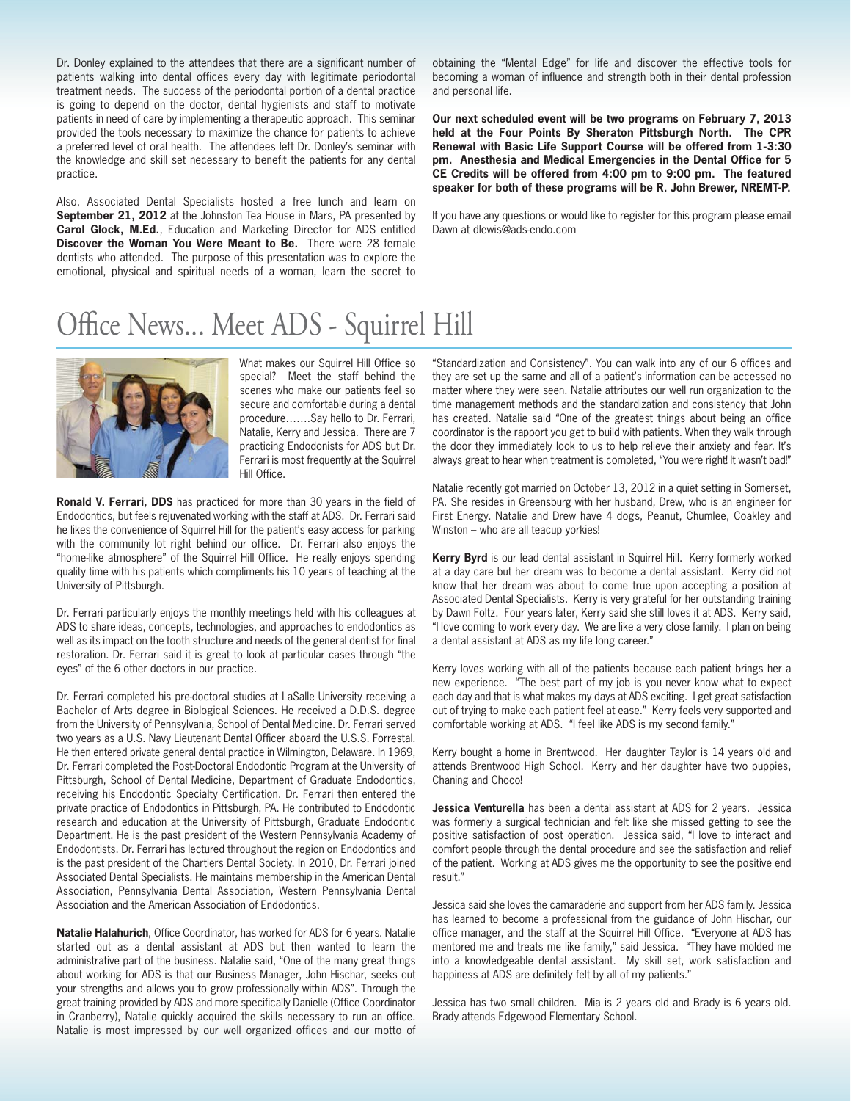Dr. Donley explained to the attendees that there are a significant number of patients walking into dental offices every day with legitimate periodontal treatment needs. The success of the periodontal portion of a dental practice is going to depend on the doctor, dental hygienists and staff to motivate patients in need of care by implementing a therapeutic approach. This seminar provided the tools necessary to maximize the chance for patients to achieve a preferred level of oral health. The attendees left Dr. Donley's seminar with the knowledge and skill set necessary to benefit the patients for any dental practice.

Also, Associated Dental Specialists hosted a free lunch and learn on **September 21, 2012** at the Johnston Tea House in Mars, PA presented by **Carol Glock, M.Ed.**, Education and Marketing Director for ADS entitled **Discover the Woman You Were Meant to Be.** There were 28 female dentists who attended. The purpose of this presentation was to explore the emotional, physical and spiritual needs of a woman, learn the secret to

obtaining the "Mental Edge" for life and discover the effective tools for becoming a woman of influence and strength both in their dental profession and personal life.

**Our next scheduled event will be two programs on February 7, 2013 held at the Four Points By Sheraton Pittsburgh North. The CPR Renewal with Basic Life Support Course will be offered from 1-3:30 pm. Anesthesia and Medical Emergencies in the Dental Office for 5 CE Credits will be offered from 4:00 pm to 9:00 pm. The featured speaker for both of these programs will be R. John Brewer, NREMT-P.**

If you have any questions or would like to register for this program please email Dawn at dlewis@ads-endo.com

### Office News... Meet ADS - Squirrel Hill



What makes our Squirrel Hill Office so special? Meet the staff behind the scenes who make our patients feel so secure and comfortable during a dental procedure…….Say hello to Dr. Ferrari, Natalie, Kerry and Jessica. There are 7 practicing Endodonists for ADS but Dr. Ferrari is most frequently at the Squirrel Hill Office.

**Ronald V. Ferrari, DDS** has practiced for more than 30 years in the field of Endodontics, but feels rejuvenated working with the staff at ADS. Dr. Ferrari said he likes the convenience of Squirrel Hill for the patient's easy access for parking with the community lot right behind our office. Dr. Ferrari also enjoys the "home-like atmosphere" of the Squirrel Hill Office. He really enjoys spending quality time with his patients which compliments his 10 years of teaching at the University of Pittsburgh.

Dr. Ferrari particularly enjoys the monthly meetings held with his colleagues at ADS to share ideas, concepts, technologies, and approaches to endodontics as well as its impact on the tooth structure and needs of the general dentist for final restoration. Dr. Ferrari said it is great to look at particular cases through "the eyes" of the 6 other doctors in our practice.

Dr. Ferrari completed his pre-doctoral studies at LaSalle University receiving a Bachelor of Arts degree in Biological Sciences. He received a D.D.S. degree from the University of Pennsylvania, School of Dental Medicine. Dr. Ferrari served two years as a U.S. Navy Lieutenant Dental Officer aboard the U.S.S. Forrestal. He then entered private general dental practice in Wilmington, Delaware. In 1969, Dr. Ferrari completed the Post-Doctoral Endodontic Program at the University of Pittsburgh, School of Dental Medicine, Department of Graduate Endodontics, receiving his Endodontic Specialty Certification. Dr. Ferrari then entered the private practice of Endodontics in Pittsburgh, PA. He contributed to Endodontic research and education at the University of Pittsburgh, Graduate Endodontic Department. He is the past president of the Western Pennsylvania Academy of Endodontists. Dr. Ferrari has lectured throughout the region on Endodontics and is the past president of the Chartiers Dental Society. In 2010, Dr. Ferrari joined Associated Dental Specialists. He maintains membership in the American Dental Association, Pennsylvania Dental Association, Western Pennsylvania Dental Association and the American Association of Endodontics.

**Natalie Halahurich**, Office Coordinator, has worked for ADS for 6 years. Natalie started out as a dental assistant at ADS but then wanted to learn the administrative part of the business. Natalie said, "One of the many great things about working for ADS is that our Business Manager, John Hischar, seeks out your strengths and allows you to grow professionally within ADS". Through the great training provided by ADS and more specifically Danielle (Office Coordinator in Cranberry), Natalie quickly acquired the skills necessary to run an office. Natalie is most impressed by our well organized offices and our motto of

"Standardization and Consistency". You can walk into any of our 6 offices and they are set up the same and all of a patient's information can be accessed no matter where they were seen. Natalie attributes our well run organization to the time management methods and the standardization and consistency that John has created. Natalie said "One of the greatest things about being an office coordinator is the rapport you get to build with patients. When they walk through the door they immediately look to us to help relieve their anxiety and fear. It's always great to hear when treatment is completed, "You were right! It wasn't bad!"

Natalie recently got married on October 13, 2012 in a quiet setting in Somerset, PA. She resides in Greensburg with her husband, Drew, who is an engineer for First Energy. Natalie and Drew have 4 dogs, Peanut, Chumlee, Coakley and Winston – who are all teacup yorkies!

**Kerry Byrd** is our lead dental assistant in Squirrel Hill. Kerry formerly worked at a day care but her dream was to become a dental assistant. Kerry did not know that her dream was about to come true upon accepting a position at Associated Dental Specialists. Kerry is very grateful for her outstanding training by Dawn Foltz. Four years later, Kerry said she still loves it at ADS. Kerry said, "I love coming to work every day. We are like a very close family. I plan on being a dental assistant at ADS as my life long career."

Kerry loves working with all of the patients because each patient brings her a new experience. "The best part of my job is you never know what to expect each day and that is what makes my days at ADS exciting. I get great satisfaction out of trying to make each patient feel at ease." Kerry feels very supported and comfortable working at ADS. "I feel like ADS is my second family."

Kerry bought a home in Brentwood. Her daughter Taylor is 14 years old and attends Brentwood High School. Kerry and her daughter have two puppies, Chaning and Choco!

**Jessica Venturella** has been a dental assistant at ADS for 2 years. Jessica was formerly a surgical technician and felt like she missed getting to see the positive satisfaction of post operation. Jessica said, "I love to interact and comfort people through the dental procedure and see the satisfaction and relief of the patient. Working at ADS gives me the opportunity to see the positive end result."

Jessica said she loves the camaraderie and support from her ADS family. Jessica has learned to become a professional from the guidance of John Hischar, our office manager, and the staff at the Squirrel Hill Office. "Everyone at ADS has mentored me and treats me like family," said Jessica. "They have molded me into a knowledgeable dental assistant. My skill set, work satisfaction and happiness at ADS are definitely felt by all of my patients."

Jessica has two small children. Mia is 2 years old and Brady is 6 years old. Brady attends Edgewood Elementary School.